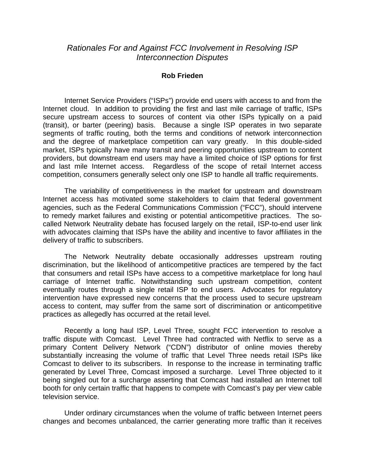## *Rationales For and Against FCC Involvement in Resolving ISP Interconnection Disputes*

## **Rob Frieden**

 Internet Service Providers ("ISPs") provide end users with access to and from the Internet cloud. In addition to providing the first and last mile carriage of traffic, ISPs secure upstream access to sources of content via other ISPs typically on a paid (transit), or barter (peering) basis. Because a single ISP operates in two separate segments of traffic routing, both the terms and conditions of network interconnection and the degree of marketplace competition can vary greatly. In this double-sided market, ISPs typically have many transit and peering opportunities upstream to content providers, but downstream end users may have a limited choice of ISP options for first and last mile Internet access. Regardless of the scope of retail Internet access competition, consumers generally select only one ISP to handle all traffic requirements.

The variability of competitiveness in the market for upstream and downstream Internet access has motivated some stakeholders to claim that federal government agencies, such as the Federal Communications Commission ("FCC"), should intervene to remedy market failures and existing or potential anticompetitive practices. The socalled Network Neutrality debate has focused largely on the retail, ISP-to-end user link with advocates claiming that ISPs have the ability and incentive to favor affiliates in the delivery of traffic to subscribers.

 The Network Neutrality debate occasionally addresses upstream routing discrimination, but the likelihood of anticompetitive practices are tempered by the fact that consumers and retail ISPs have access to a competitive marketplace for long haul carriage of Internet traffic. Notwithstanding such upstream competition, content eventually routes through a single retail ISP to end users. Advocates for regulatory intervention have expressed new concerns that the process used to secure upstream access to content, may suffer from the same sort of discrimination or anticompetitive practices as allegedly has occurred at the retail level.

 Recently a long haul ISP, Level Three, sought FCC intervention to resolve a traffic dispute with Comcast. Level Three had contracted with Netflix to serve as a primary Content Delivery Network ("CDN") distributor of online movies thereby substantially increasing the volume of traffic that Level Three needs retail ISPs like Comcast to deliver to its subscribers. In response to the increase in terminating traffic generated by Level Three, Comcast imposed a surcharge. Level Three objected to it being singled out for a surcharge asserting that Comcast had installed an Internet toll booth for only certain traffic that happens to compete with Comcast's pay per view cable television service.

 Under ordinary circumstances when the volume of traffic between Internet peers changes and becomes unbalanced, the carrier generating more traffic than it receives